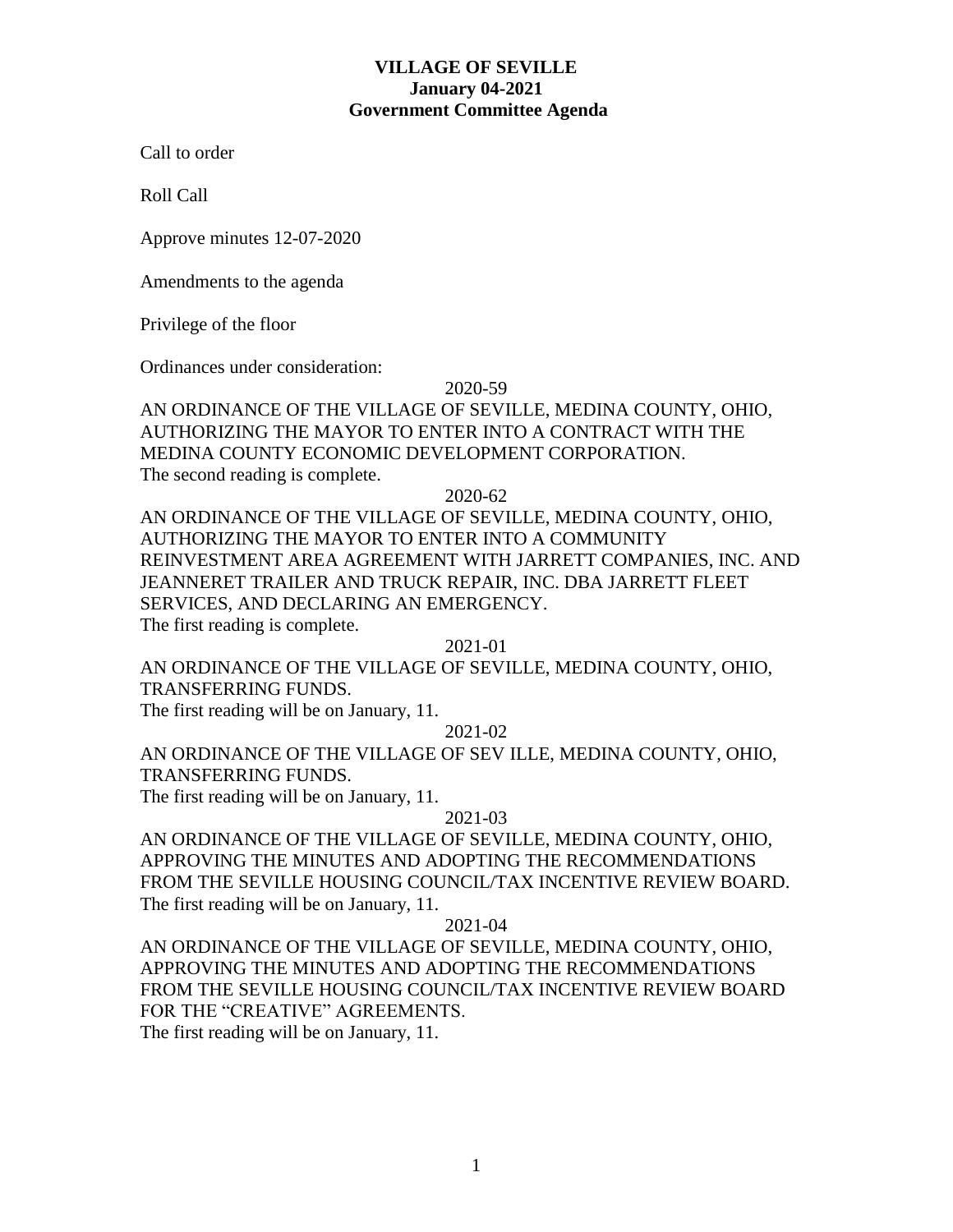# **VILLAGE OF SEVILLE January 04-2021 Government Committee Agenda**

Call to order

Roll Call

Approve minutes 12-07-2020

Amendments to the agenda

Privilege of the floor

Ordinances under consideration:

#### 2020-59

AN ORDINANCE OF THE VILLAGE OF SEVILLE, MEDINA COUNTY, OHIO, AUTHORIZING THE MAYOR TO ENTER INTO A CONTRACT WITH THE MEDINA COUNTY ECONOMIC DEVELOPMENT CORPORATION. The second reading is complete.

2020-62

AN ORDINANCE OF THE VILLAGE OF SEVILLE, MEDINA COUNTY, OHIO, AUTHORIZING THE MAYOR TO ENTER INTO A COMMUNITY REINVESTMENT AREA AGREEMENT WITH JARRETT COMPANIES, INC. AND JEANNERET TRAILER AND TRUCK REPAIR, INC. DBA JARRETT FLEET SERVICES, AND DECLARING AN EMERGENCY. The first reading is complete.

2021-01

AN ORDINANCE OF THE VILLAGE OF SEVILLE, MEDINA COUNTY, OHIO, TRANSFERRING FUNDS.

The first reading will be on January, 11.

2021-02

AN ORDINANCE OF THE VILLAGE OF SEV ILLE, MEDINA COUNTY, OHIO, TRANSFERRING FUNDS.

The first reading will be on January, 11.

#### 2021-03

AN ORDINANCE OF THE VILLAGE OF SEVILLE, MEDINA COUNTY, OHIO, APPROVING THE MINUTES AND ADOPTING THE RECOMMENDATIONS FROM THE SEVILLE HOUSING COUNCIL/TAX INCENTIVE REVIEW BOARD. The first reading will be on January, 11.

# 2021-04

AN ORDINANCE OF THE VILLAGE OF SEVILLE, MEDINA COUNTY, OHIO, APPROVING THE MINUTES AND ADOPTING THE RECOMMENDATIONS FROM THE SEVILLE HOUSING COUNCIL/TAX INCENTIVE REVIEW BOARD FOR THE "CREATIVE" AGREEMENTS.

The first reading will be on January, 11.